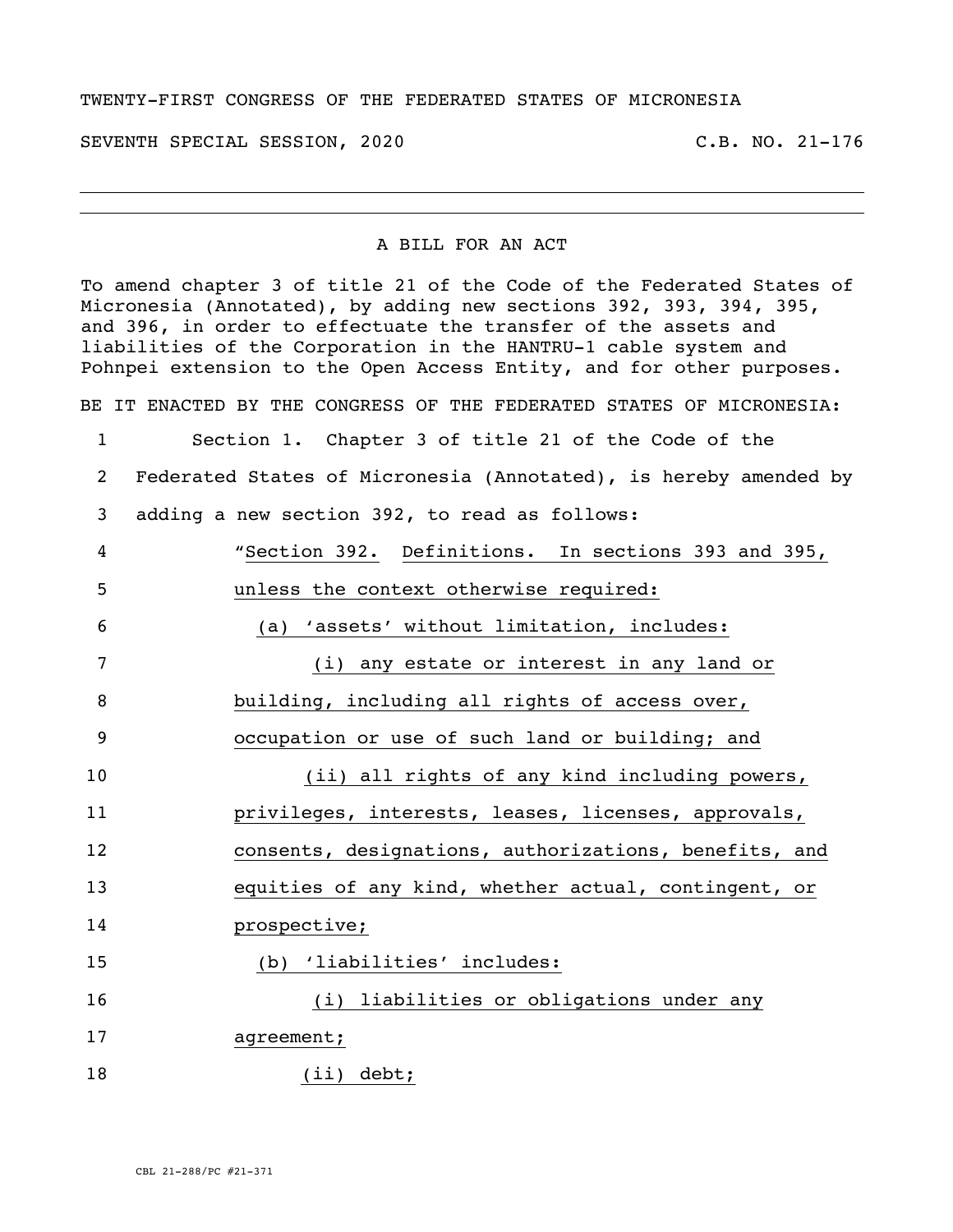## TWENTY-FIRST CONGRESS OF THE FEDERATED STATES OF MICRONESIA

SEVENTH SPECIAL SESSION, 2020 C.B. NO. 21-176

## A BILL FOR AN ACT

To amend chapter 3 of title 21 of the Code of the Federated States of Micronesia (Annotated), by adding new sections 392, 393, 394, 395, and 396, in order to effectuate the transfer of the assets and liabilities of the Corporation in the HANTRU-1 cable system and Pohnpei extension to the Open Access Entity, and for other purposes.

BE IT ENACTED BY THE CONGRESS OF THE FEDERATED STATES OF MICRONESIA:

 Section 1. Chapter 3 of title 21 of the Code of the Federated States of Micronesia (Annotated), is hereby amended by adding a new section 392, to read as follows: "Section 392. Definitions. In sections 393 and 395, unless the context otherwise required: (a) 'assets' without limitation, includes: (i) any estate or interest in any land or building, including all rights of access over, occupation or use of such land or building; and (ii) all rights of any kind including powers, privileges, interests, leases, licenses, approvals, consents, designations, authorizations, benefits, and equities of any kind, whether actual, contingent, or prospective; (b) 'liabilities' includes: (i) liabilities or obligations under any 17 agreement; (ii) debt;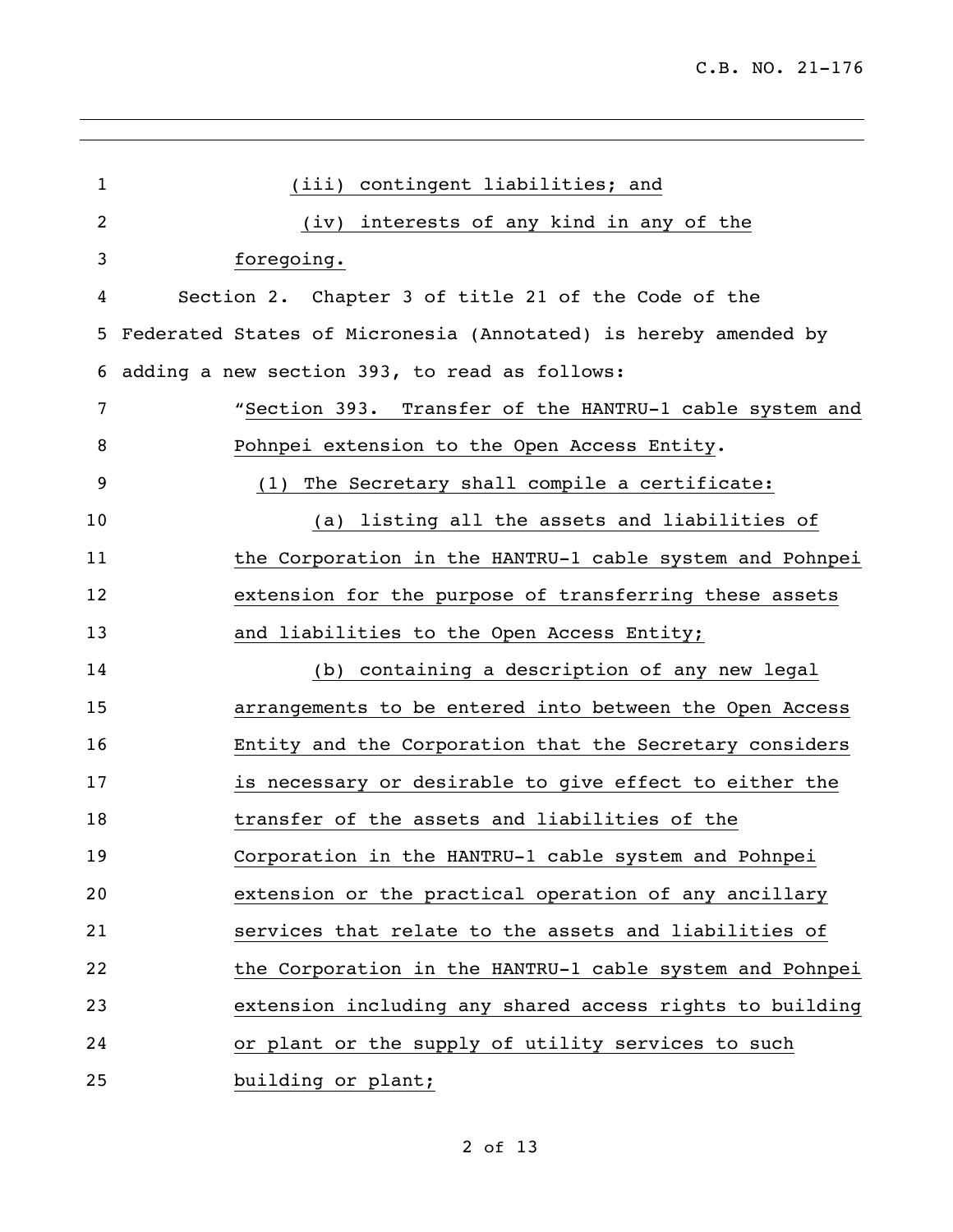| $\mathbf{1}$ | (iii) contingent liabilities; and                               |
|--------------|-----------------------------------------------------------------|
| 2            | (iv) interests of any kind in any of the                        |
| 3            | foregoing.                                                      |
| 4            | Section 2. Chapter 3 of title 21 of the Code of the             |
| 5            | Federated States of Micronesia (Annotated) is hereby amended by |
| 6            | adding a new section 393, to read as follows:                   |
| 7            | "Section 393. Transfer of the HANTRU-1 cable system and         |
| 8            | Pohnpei extension to the Open Access Entity.                    |
| 9            | (1) The Secretary shall compile a certificate:                  |
| 10           | (a) listing all the assets and liabilities of                   |
| 11           | the Corporation in the HANTRU-1 cable system and Pohnpei        |
| 12           | extension for the purpose of transferring these assets          |
| 13           | and liabilities to the Open Access Entity;                      |
| 14           | (b) containing a description of any new legal                   |
| 15           | arrangements to be entered into between the Open Access         |
| 16           | Entity and the Corporation that the Secretary considers         |
| 17           | is necessary or desirable to give effect to either the          |
| 18           | transfer of the assets and liabilities of the                   |
| 19           | Corporation in the HANTRU-1 cable system and Pohnpei            |
| 20           | extension or the practical operation of any ancillary           |
| 21           | services that relate to the assets and liabilities of           |
| 22           | the Corporation in the HANTRU-1 cable system and Pohnpei        |
| 23           | extension including any shared access rights to building        |
| 24           | or plant or the supply of utility services to such              |
| 25           | building or plant;                                              |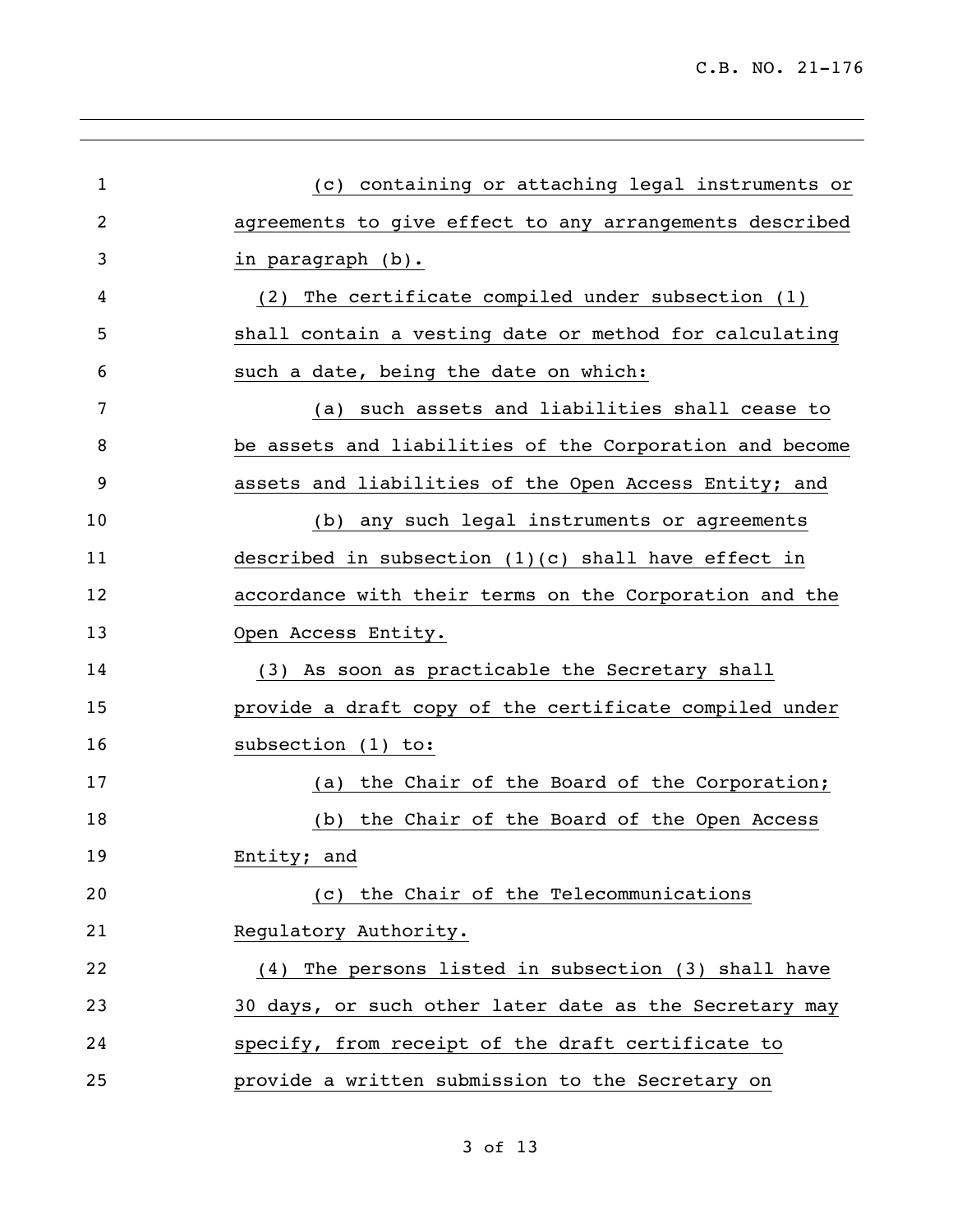| $\mathbf{1}$   | (c) containing or attaching legal instruments or        |
|----------------|---------------------------------------------------------|
| $\overline{2}$ | agreements to give effect to any arrangements described |
| 3              | in paragraph (b).                                       |
| 4              | The certificate compiled under subsection (1)<br>(2)    |
| 5              | shall contain a vesting date or method for calculating  |
| 6              | such a date, being the date on which:                   |
| 7              | such assets and liabilities shall cease to<br>(a)       |
| 8              | be assets and liabilities of the Corporation and become |
| 9              | assets and liabilities of the Open Access Entity; and   |
| 10             | (b) any such legal instruments or agreements            |
| 11             | described in subsection $(1)(c)$ shall have effect in   |
| 12             | accordance with their terms on the Corporation and the  |
| 13             | Open Access Entity.                                     |
| 14             | (3) As soon as practicable the Secretary shall          |
| 15             | provide a draft copy of the certificate compiled under  |
| 16             | subsection (1) to:                                      |
| 17             | the Chair of the Board of the Corporation;<br>(a)       |
| 18             | (b) the Chair of the Board of the Open Access           |
| 19             | Entity; and                                             |
| 20             | (c) the Chair of the Telecommunications                 |
| 21             | Regulatory Authority.                                   |
| 22             | (4) The persons listed in subsection (3) shall have     |
| 23             | 30 days, or such other later date as the Secretary may  |
| 24             | specify, from receipt of the draft certificate to       |
| 25             | provide a written submission to the Secretary on        |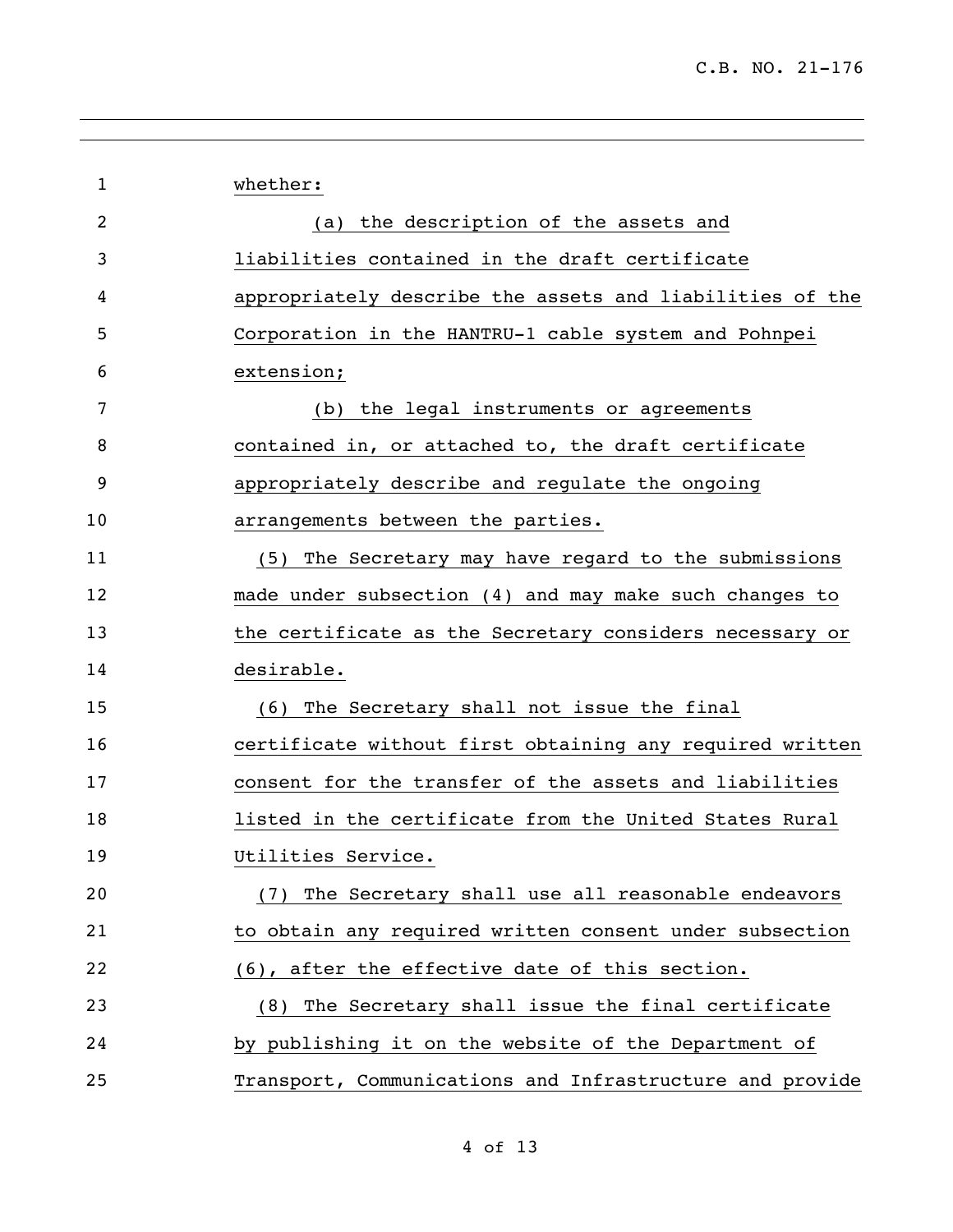| $\mathbf{1}$   | whether:                                                 |
|----------------|----------------------------------------------------------|
| $\overline{2}$ | (a) the description of the assets and                    |
| 3              | liabilities contained in the draft certificate           |
| 4              | appropriately describe the assets and liabilities of the |
| 5              | Corporation in the HANTRU-1 cable system and Pohnpei     |
| 6              | extension;                                               |
| 7              | (b) the legal instruments or agreements                  |
| 8              | contained in, or attached to, the draft certificate      |
| 9              | appropriately describe and regulate the ongoing          |
| 10             | arrangements between the parties.                        |
| 11             | (5) The Secretary may have regard to the submissions     |
| 12             | made under subsection (4) and may make such changes to   |
| 13             | the certificate as the Secretary considers necessary or  |
| 14             | desirable.                                               |
| 15             | (6) The Secretary shall not issue the final              |
| 16             | certificate without first obtaining any required written |
| 17             | consent for the transfer of the assets and liabilities   |
| 18             | listed in the certificate from the United States Rural   |
| 19             | Utilities Service.                                       |
| 20             | (7) The Secretary shall use all reasonable endeavors     |
| 21             | to obtain any required written consent under subsection  |
| 22             | (6), after the effective date of this section.           |
| 23             | (8) The Secretary shall issue the final certificate      |
| 24             | by publishing it on the website of the Department of     |
| 25             | Transport, Communications and Infrastructure and provide |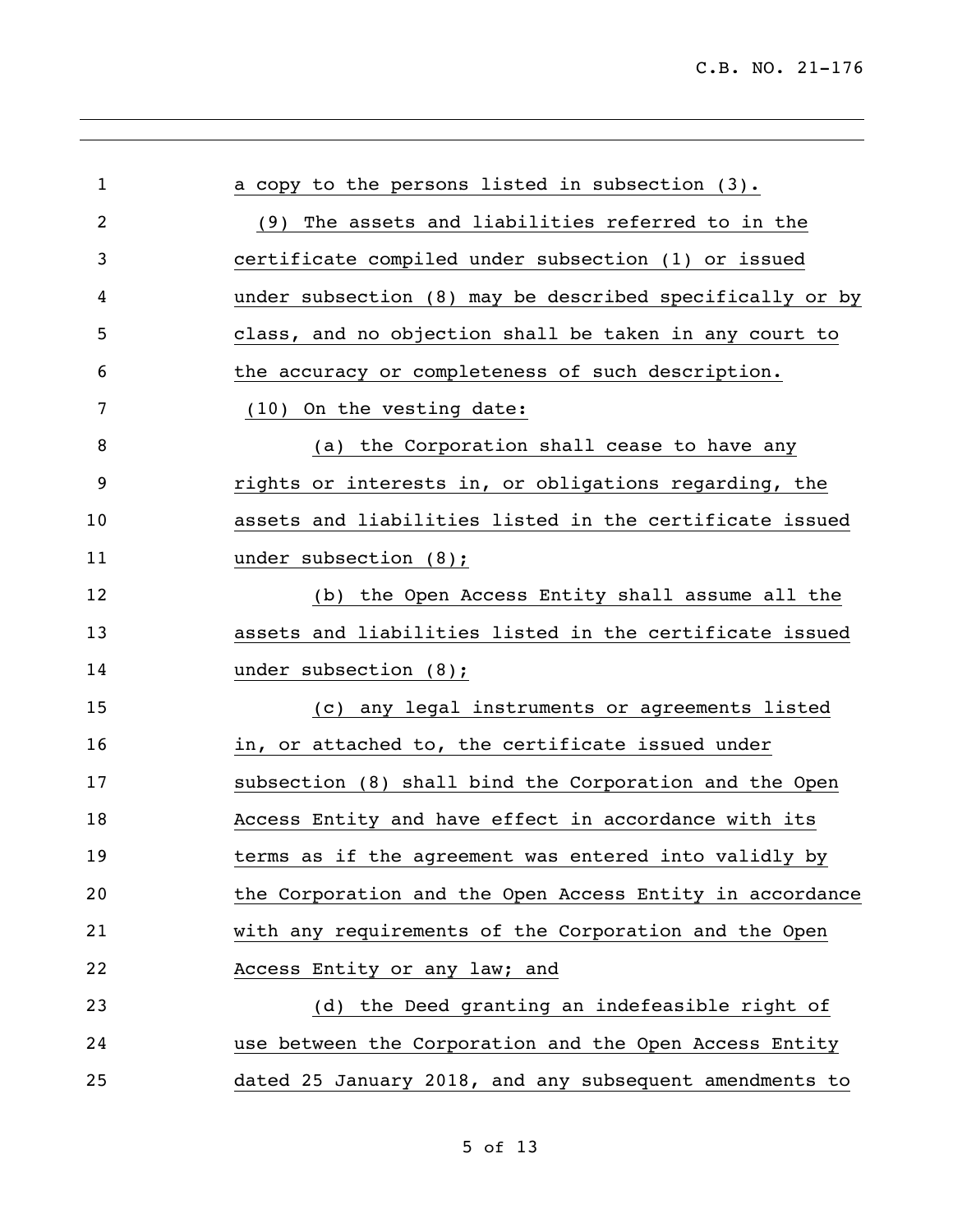| $\mathbf{1}$ | a copy to the persons listed in subsection (3).          |
|--------------|----------------------------------------------------------|
| 2            | The assets and liabilities referred to in the<br>(9)     |
| 3            | certificate compiled under subsection (1) or issued      |
| 4            | under subsection (8) may be described specifically or by |
| 5            | class, and no objection shall be taken in any court to   |
| 6            | the accuracy or completeness of such description.        |
| 7            | (10) On the vesting date:                                |
| 8            | (a) the Corporation shall cease to have any              |
| 9            | rights or interests in, or obligations regarding, the    |
| 10           | assets and liabilities listed in the certificate issued  |
| 11           | under subsection $(8)$ ;                                 |
| 12           | (b) the Open Access Entity shall assume all the          |
| 13           | assets and liabilities listed in the certificate issued  |
| 14           | under subsection $(8)$ ;                                 |
| 15           | (c) any legal instruments or agreements listed           |
| 16           | in, or attached to, the certificate issued under         |
| 17           | subsection (8) shall bind the Corporation and the Open   |
| 18           | Access Entity and have effect in accordance with its     |
| 19           | terms as if the agreement was entered into validly by    |
| 20           | the Corporation and the Open Access Entity in accordance |
| 21           | with any requirements of the Corporation and the Open    |
| 22           | Access Entity or any law; and                            |
| 23           | (d) the Deed granting an indefeasible right of           |
| 24           | use between the Corporation and the Open Access Entity   |
| 25           | dated 25 January 2018, and any subsequent amendments to  |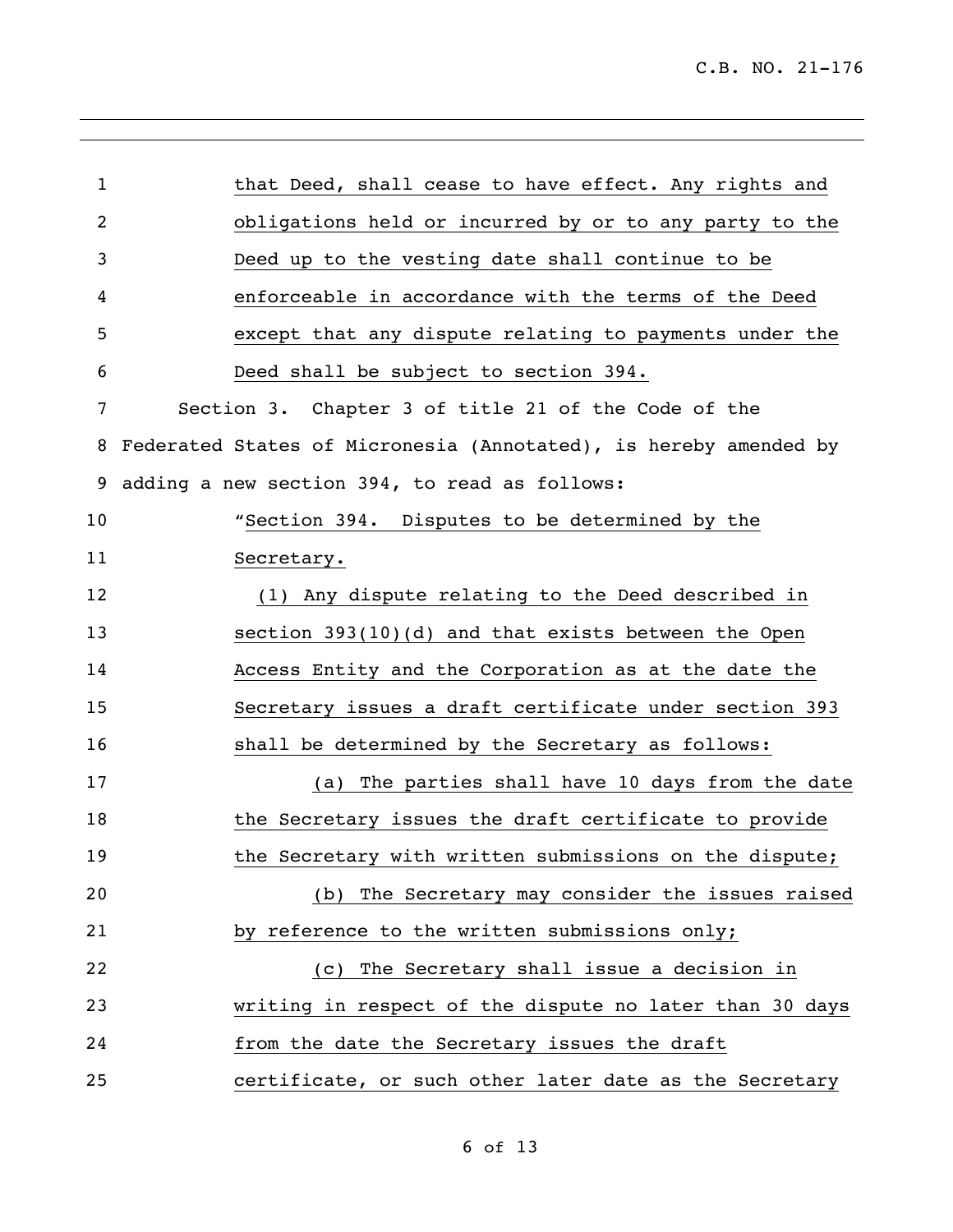| 1              | that Deed, shall cease to have effect. Any rights and            |
|----------------|------------------------------------------------------------------|
| $\overline{2}$ | obligations held or incurred by or to any party to the           |
| 3              | Deed up to the vesting date shall continue to be                 |
| 4              | enforceable in accordance with the terms of the Deed             |
| 5              | except that any dispute relating to payments under the           |
| 6              | Deed shall be subject to section 394.                            |
| 7              | Section 3. Chapter 3 of title 21 of the Code of the              |
| 8              | Federated States of Micronesia (Annotated), is hereby amended by |
| 9              | adding a new section 394, to read as follows:                    |
| 10             | "Section 394. Disputes to be determined by the                   |
| 11             | Secretary.                                                       |
| 12             | (1) Any dispute relating to the Deed described in                |
| 13             | section 393(10)(d) and that exists between the Open              |
| 14             | Access Entity and the Corporation as at the date the             |
| 15             | Secretary issues a draft certificate under section 393           |
| 16             | shall be determined by the Secretary as follows:                 |
| 17             | (a) The parties shall have 10 days from the date                 |
| 18             | the Secretary issues the draft certificate to provide            |
| 19             | the Secretary with written submissions on the dispute;           |
| 20             | (b) The Secretary may consider the issues raised                 |
| 21             | by reference to the written submissions only;                    |
| 22             | The Secretary shall issue a decision in<br>(C)                   |
| 23             | writing in respect of the dispute no later than 30 days          |
| 24             | from the date the Secretary issues the draft                     |
| 25             | certificate, or such other later date as the Secretary           |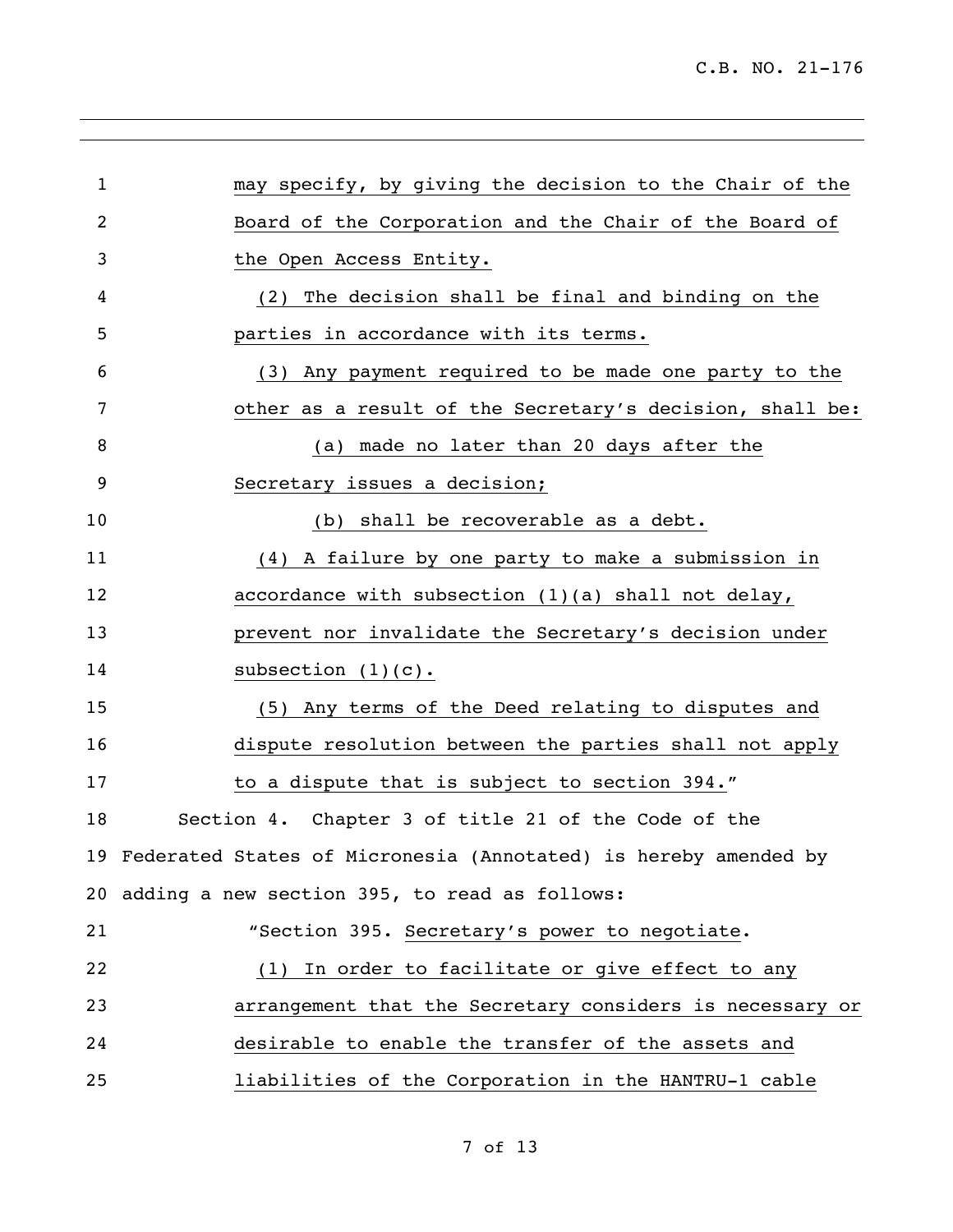| $\mathbf{1}$   | may specify, by giving the decision to the Chair of the            |
|----------------|--------------------------------------------------------------------|
| $\overline{2}$ | Board of the Corporation and the Chair of the Board of             |
|                |                                                                    |
| 3              | the Open Access Entity.                                            |
| 4              | The decision shall be final and binding on the<br>(2)              |
| 5              | parties in accordance with its terms.                              |
| 6              | (3) Any payment required to be made one party to the               |
| 7              | other as a result of the Secretary's decision, shall be:           |
| 8              | (a) made no later than 20 days after the                           |
| 9              | Secretary issues a decision;                                       |
| 10             | (b) shall be recoverable as a debt.                                |
| 11             | (4) A failure by one party to make a submission in                 |
| 12             | accordance with subsection (1)(a) shall not delay,                 |
| 13             | prevent nor invalidate the Secretary's decision under              |
| 14             | subsection $(1)(c)$ .                                              |
| 15             | (5) Any terms of the Deed relating to disputes and                 |
| 16             | dispute resolution between the parties shall not apply             |
| 17             | to a dispute that is subject to section 394."                      |
| 18             | Section 4. Chapter 3 of title 21 of the Code of the                |
|                | 19 Federated States of Micronesia (Annotated) is hereby amended by |
|                | 20 adding a new section 395, to read as follows:                   |
| 21             | "Section 395. Secretary's power to negotiate.                      |
| 22             | (1) In order to facilitate or give effect to any                   |
| 23             | arrangement that the Secretary considers is necessary or           |
| 24             | desirable to enable the transfer of the assets and                 |
| 25             | liabilities of the Corporation in the HANTRU-1 cable               |

of 13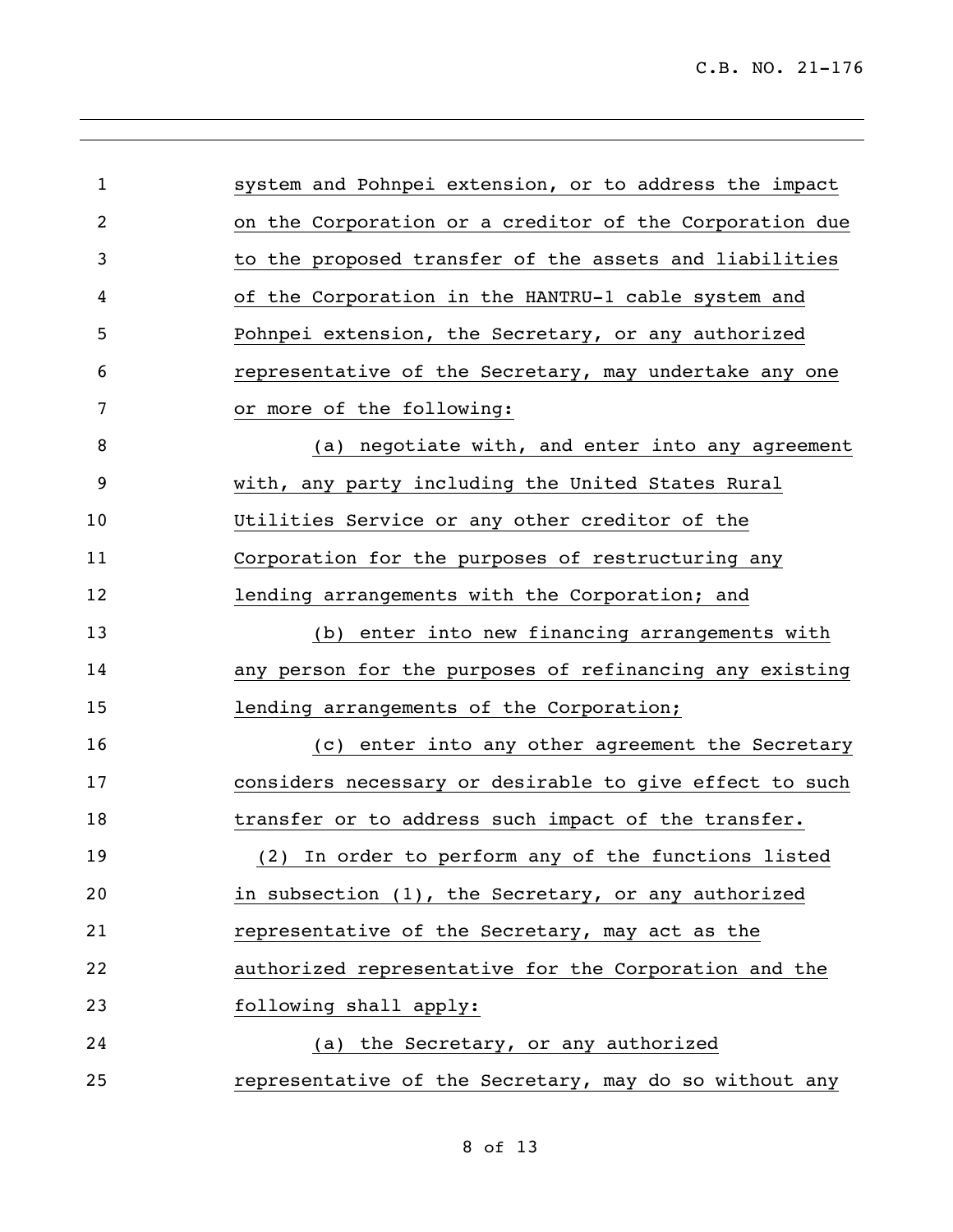| $\mathbf{1}$   | system and Pohnpei extension, or to address the impact  |
|----------------|---------------------------------------------------------|
| $\overline{2}$ | on the Corporation or a creditor of the Corporation due |
| 3              | to the proposed transfer of the assets and liabilities  |
| 4              | of the Corporation in the HANTRU-1 cable system and     |
| 5              | Pohnpei extension, the Secretary, or any authorized     |
| 6              | representative of the Secretary, may undertake any one  |
| 7              | or more of the following:                               |
| 8              | (a) negotiate with, and enter into any agreement        |
| 9              | with, any party including the United States Rural       |
| 10             | Utilities Service or any other creditor of the          |
| 11             | Corporation for the purposes of restructuring any       |
| 12             | lending arrangements with the Corporation; and          |
| 13             | (b) enter into new financing arrangements with          |
| 14             | any person for the purposes of refinancing any existing |
| 15             | lending arrangements of the Corporation;                |
| 16             | (c) enter into any other agreement the Secretary        |
| 17             | considers necessary or desirable to give effect to such |
| 18             | transfer or to address such impact of the transfer.     |
| 19             | (2) In order to perform any of the functions listed     |
| 20             | in subsection (1), the Secretary, or any authorized     |
| 21             | representative of the Secretary, may act as the         |
| 22             | authorized representative for the Corporation and the   |
| 23             | following shall apply:                                  |
| 24             | (a) the Secretary, or any authorized                    |
| 25             | representative of the Secretary, may do so without any  |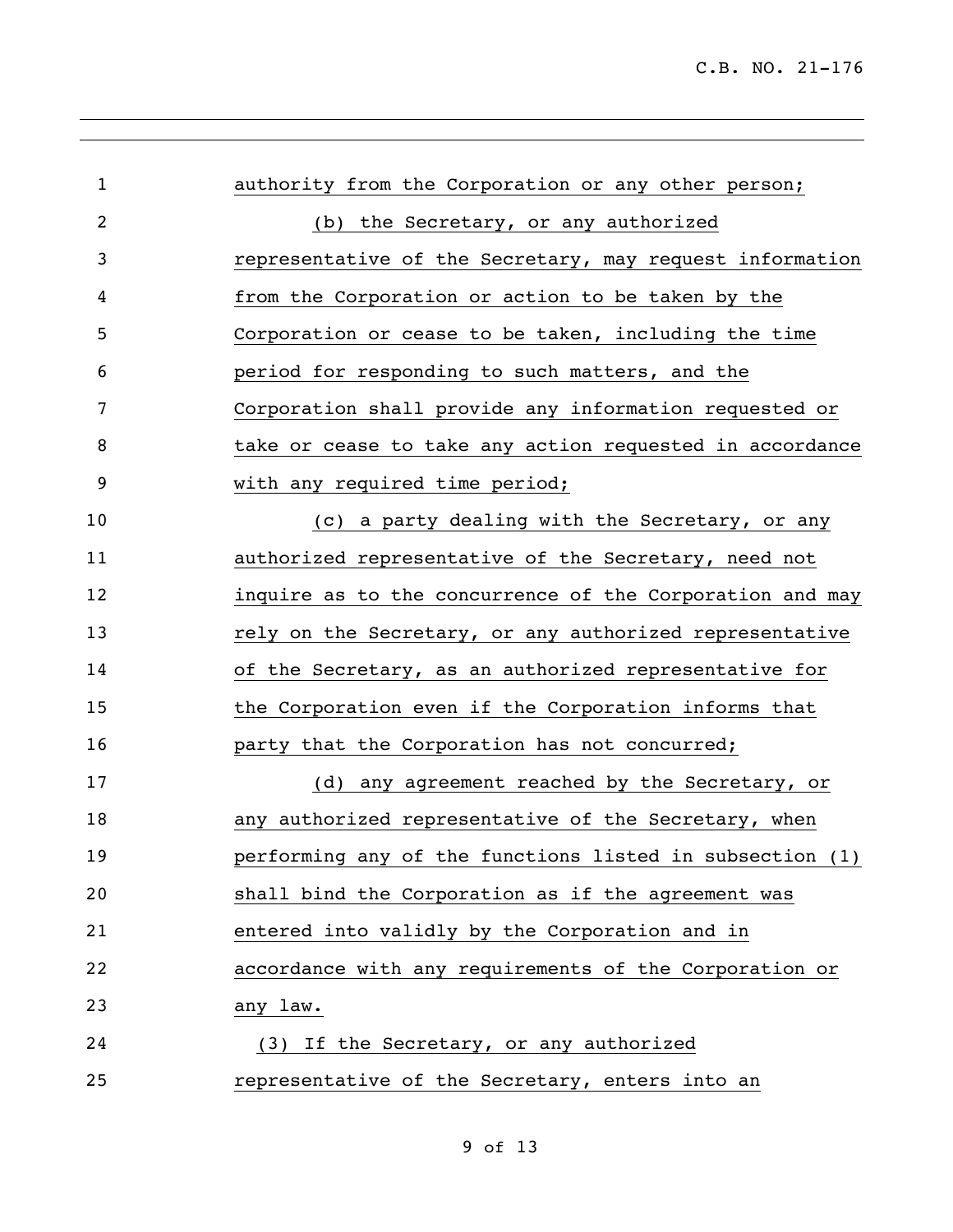| $\mathbf{1}$   | authority from the Corporation or any other person;      |
|----------------|----------------------------------------------------------|
| $\overline{2}$ | (b) the Secretary, or any authorized                     |
| 3              | representative of the Secretary, may request information |
| 4              | from the Corporation or action to be taken by the        |
| 5              | Corporation or cease to be taken, including the time     |
| 6              | period for responding to such matters, and the           |
| 7              | Corporation shall provide any information requested or   |
| 8              | take or cease to take any action requested in accordance |
| 9              | with any required time period;                           |
| 10             | (c) a party dealing with the Secretary, or any           |
| 11             | authorized representative of the Secretary, need not     |
| 12             | inquire as to the concurrence of the Corporation and may |
| 13             | rely on the Secretary, or any authorized representative  |
| 14             | of the Secretary, as an authorized representative for    |
| 15             | the Corporation even if the Corporation informs that     |
| 16             | party that the Corporation has not concurred;            |
| 17             | (d) any agreement reached by the Secretary, or           |
| 18             | any authorized representative of the Secretary, when     |
| 19             | performing any of the functions listed in subsection (1) |
| 20             | shall bind the Corporation as if the agreement was       |
| 21             | entered into validly by the Corporation and in           |
| 22             | accordance with any requirements of the Corporation or   |
| 23             | any law.                                                 |
| 24             | (3) If the Secretary, or any authorized                  |
| 25             | representative of the Secretary, enters into an          |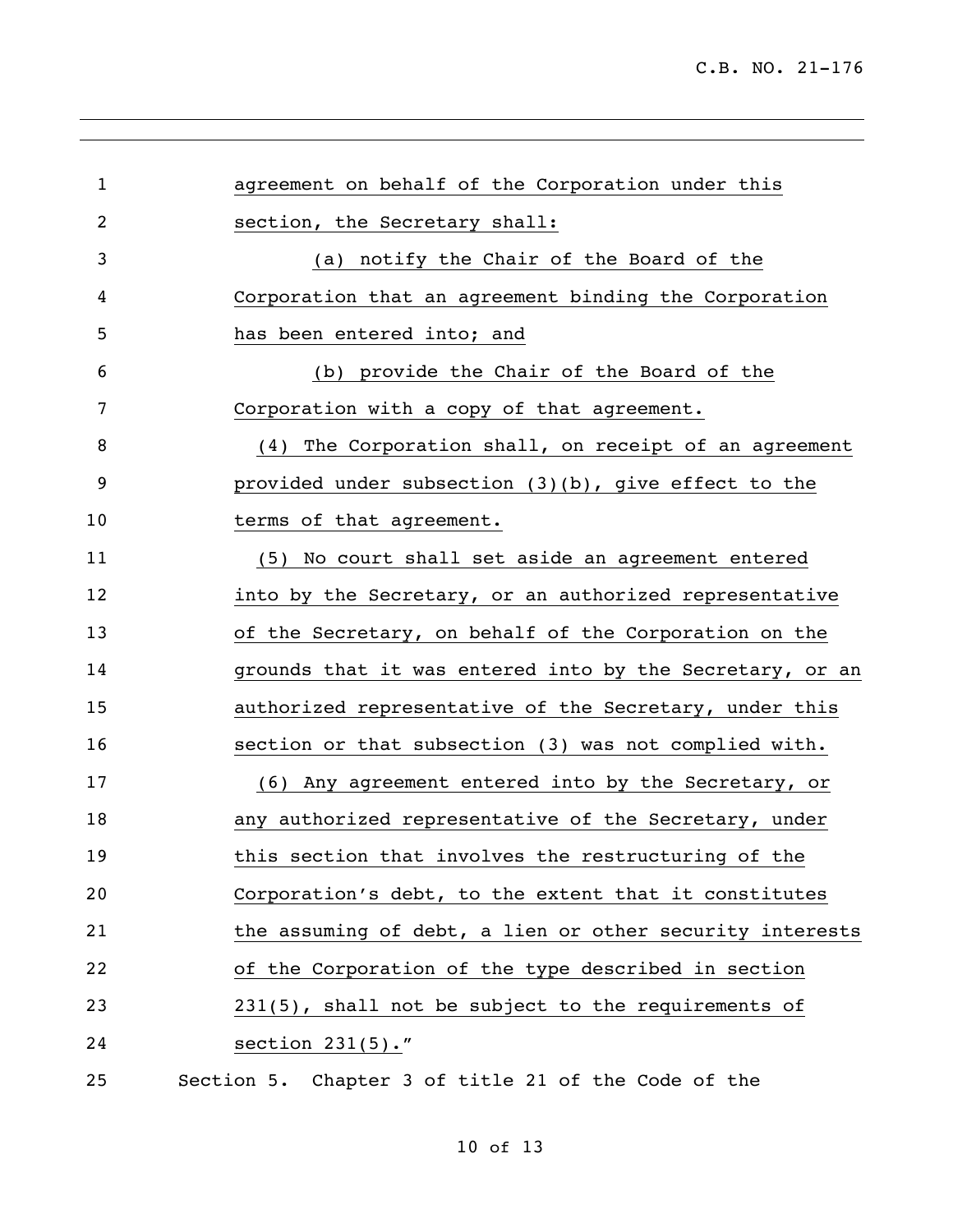| $\mathbf{1}$   | agreement on behalf of the Corporation under this        |
|----------------|----------------------------------------------------------|
| $\overline{2}$ | section, the Secretary shall:                            |
| 3              | (a) notify the Chair of the Board of the                 |
| 4              | Corporation that an agreement binding the Corporation    |
| 5              | has been entered into; and                               |
| 6              | (b) provide the Chair of the Board of the                |
| 7              | Corporation with a copy of that agreement.               |
| 8              | (4) The Corporation shall, on receipt of an agreement    |
| 9              | provided under subsection (3)(b), give effect to the     |
| 10             | terms of that agreement.                                 |
| 11             | (5) No court shall set aside an agreement entered        |
| 12             | into by the Secretary, or an authorized representative   |
| 13             | of the Secretary, on behalf of the Corporation on the    |
| 14             | grounds that it was entered into by the Secretary, or an |
| 15             | authorized representative of the Secretary, under this   |
| 16             | section or that subsection (3) was not complied with.    |
| 17             | (6) Any agreement entered into by the Secretary, or      |
| 18             | any authorized representative of the Secretary, under    |
| 19             | this section that involves the restructuring of the      |
| 20             | Corporation's debt, to the extent that it constitutes    |
| 21             | the assuming of debt, a lien or other security interests |
| 22             | of the Corporation of the type described in section      |
| 23             | 231(5), shall not be subject to the requirements of      |
| 24             | section $231(5)$ ."                                      |
| 25             | Section 5. Chapter 3 of title 21 of the Code of the      |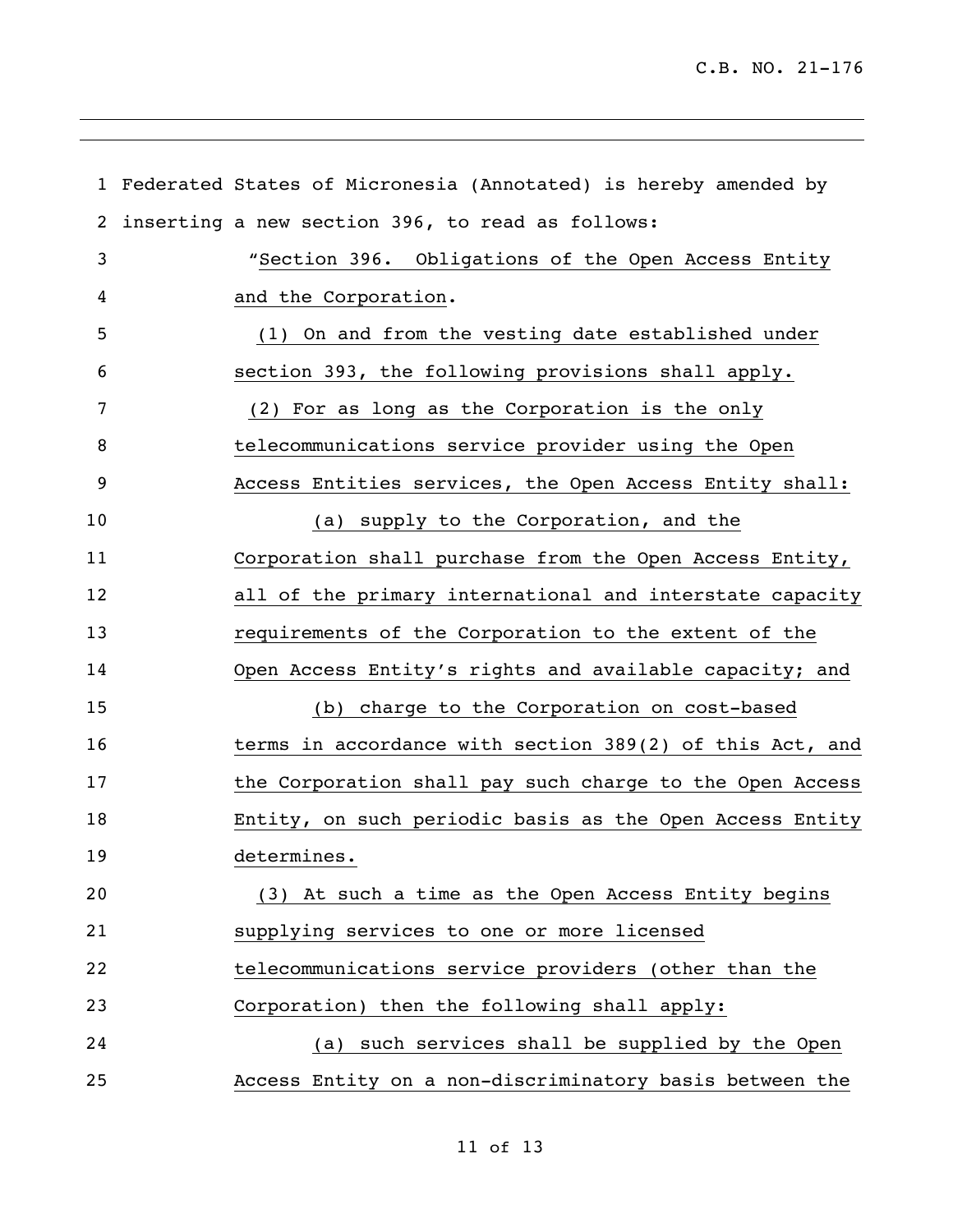|                  | 1 Federated States of Micronesia (Annotated) is hereby amended by |
|------------------|-------------------------------------------------------------------|
| 2                | inserting a new section 396, to read as follows:                  |
| 3                | "Section 396. Obligations of the Open Access Entity               |
| 4                | and the Corporation.                                              |
| 5                | (1) On and from the vesting date established under                |
| 6                | section 393, the following provisions shall apply.                |
| 7                | (2) For as long as the Corporation is the only                    |
| 8                | telecommunications service provider using the Open                |
| $\boldsymbol{9}$ | Access Entities services, the Open Access Entity shall:           |
| 10               | (a) supply to the Corporation, and the                            |
| 11               | Corporation shall purchase from the Open Access Entity,           |
| 12               | all of the primary international and interstate capacity          |
| 13               | requirements of the Corporation to the extent of the              |
| 14               | Open Access Entity's rights and available capacity; and           |
| 15               | (b) charge to the Corporation on cost-based                       |
| 16               | terms in accordance with section 389(2) of this Act, and          |
| 17               | the Corporation shall pay such charge to the Open Access          |
| 18               | Entity, on such periodic basis as the Open Access Entity          |
| 19               | determines.                                                       |
| 20               | (3) At such a time as the Open Access Entity begins               |
| 21               | supplying services to one or more licensed                        |
| 22               | telecommunications service providers (other than the              |
| 23               | Corporation) then the following shall apply:                      |
| 24               | (a) such services shall be supplied by the Open                   |
| 25               | Access Entity on a non-discriminatory basis between the           |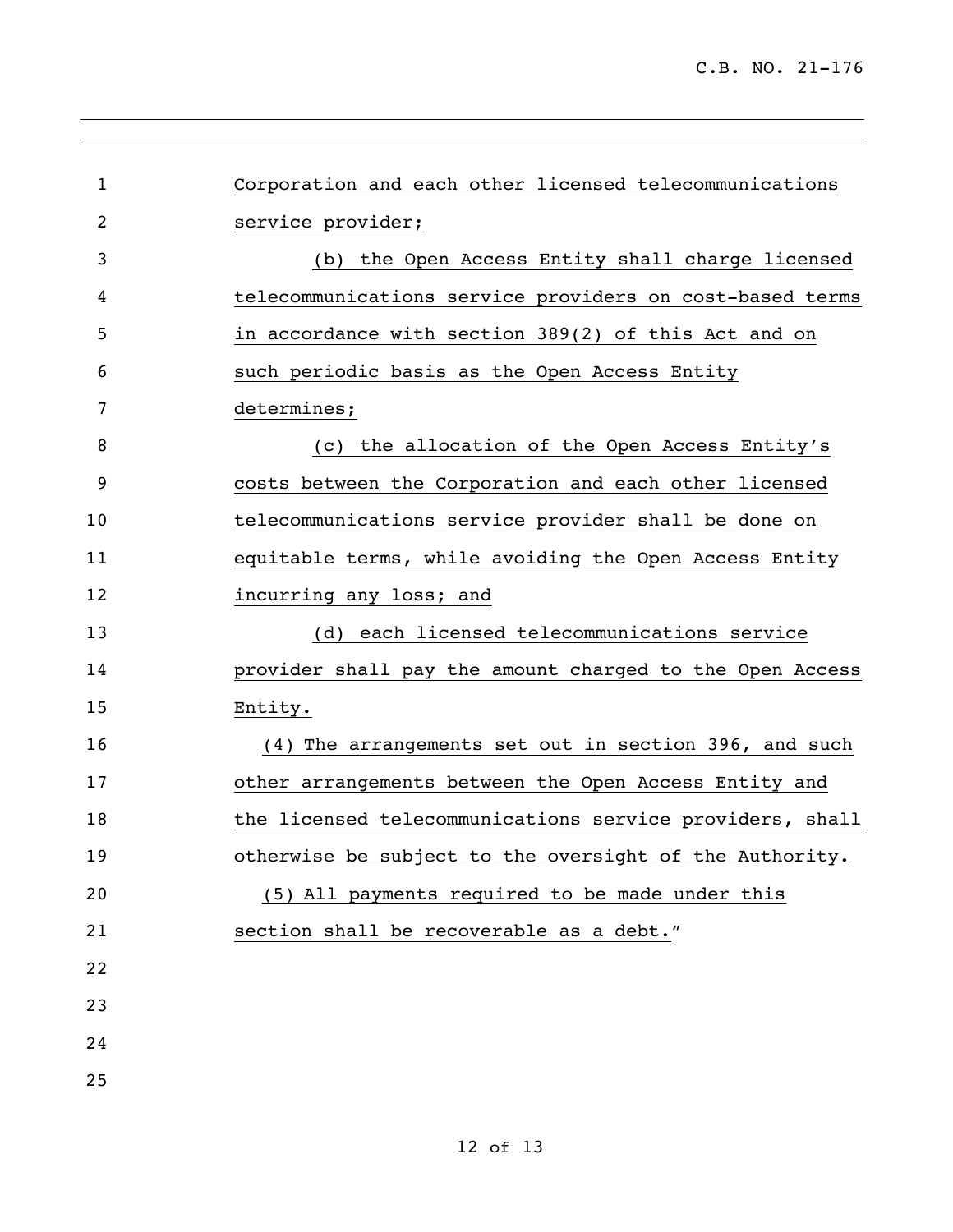| $\mathbf{1}$   | Corporation and each other licensed telecommunications   |
|----------------|----------------------------------------------------------|
| $\overline{2}$ | service provider;                                        |
| 3              | (b) the Open Access Entity shall charge licensed         |
| 4              | telecommunications service providers on cost-based terms |
| 5              | in accordance with section 389(2) of this Act and on     |
| 6              | such periodic basis as the Open Access Entity            |
| 7              | determines;                                              |
| 8              | (c) the allocation of the Open Access Entity's           |
| 9              | costs between the Corporation and each other licensed    |
| 10             | telecommunications service provider shall be done on     |
| 11             | equitable terms, while avoiding the Open Access Entity   |
| 12             | incurring any loss; and                                  |
| 13             | (d) each licensed telecommunications service             |
| 14             | provider shall pay the amount charged to the Open Access |
| 15             | Entity.                                                  |
| 16             | (4) The arrangements set out in section 396, and such    |
| 17             | other arrangements between the Open Access Entity and    |
| 18             | the licensed telecommunications service providers, shall |
| 19             | otherwise be subject to the oversight of the Authority.  |
| 20             | (5) All payments required to be made under this          |
| 21             | section shall be recoverable as a debt."                 |
| 22             |                                                          |
| 23             |                                                          |
| 24             |                                                          |
| 25             |                                                          |
|                |                                                          |